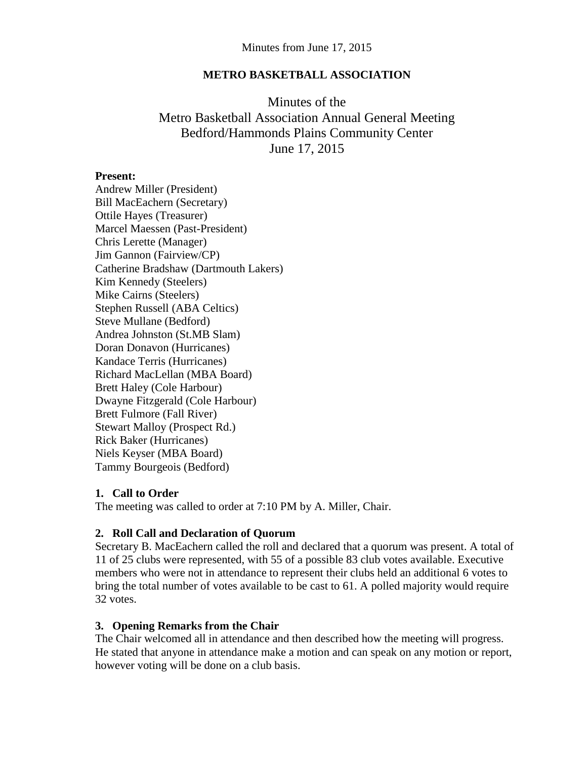### **METRO BASKETBALL ASSOCIATION**

# Minutes of the Metro Basketball Association Annual General Meeting Bedford/Hammonds Plains Community Center June 17, 2015

### **Present:**

Andrew Miller (President) Bill MacEachern (Secretary) Ottile Hayes (Treasurer) Marcel Maessen (Past-President) Chris Lerette (Manager) Jim Gannon (Fairview/CP) Catherine Bradshaw (Dartmouth Lakers) Kim Kennedy (Steelers) Mike Cairns (Steelers) Stephen Russell (ABA Celtics) Steve Mullane (Bedford) Andrea Johnston (St.MB Slam) Doran Donavon (Hurricanes) Kandace Terris (Hurricanes) Richard MacLellan (MBA Board) Brett Haley (Cole Harbour) Dwayne Fitzgerald (Cole Harbour) Brett Fulmore (Fall River) Stewart Malloy (Prospect Rd.) Rick Baker (Hurricanes) Niels Keyser (MBA Board) Tammy Bourgeois (Bedford)

### **1. Call to Order**

The meeting was called to order at 7:10 PM by A. Miller, Chair.

# **2. Roll Call and Declaration of Quorum**

Secretary B. MacEachern called the roll and declared that a quorum was present. A total of 11 of 25 clubs were represented, with 55 of a possible 83 club votes available. Executive members who were not in attendance to represent their clubs held an additional 6 votes to bring the total number of votes available to be cast to 61. A polled majority would require 32 votes.

# **3. Opening Remarks from the Chair**

The Chair welcomed all in attendance and then described how the meeting will progress. He stated that anyone in attendance make a motion and can speak on any motion or report, however voting will be done on a club basis.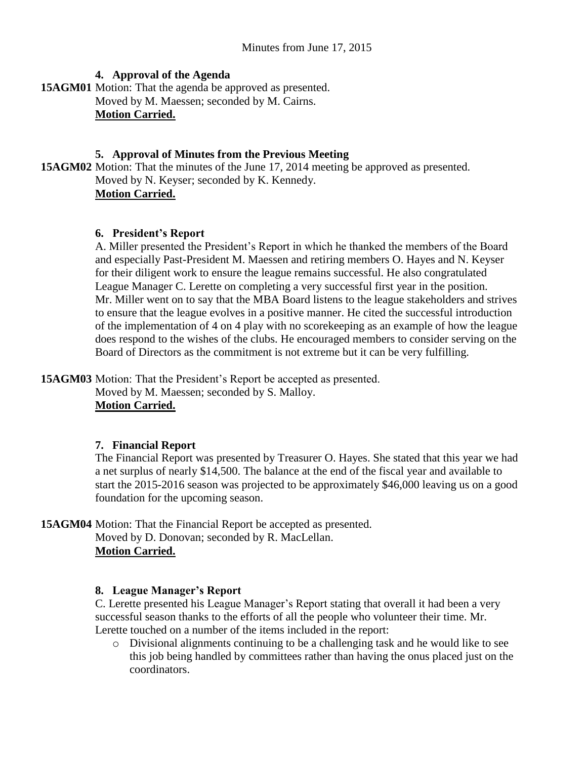### **4. Approval of the Agenda**

**15AGM01** Motion: That the agenda be approved as presented. Moved by M. Maessen; seconded by M. Cairns. **Motion Carried.**

### **5. Approval of Minutes from the Previous Meeting**

**15AGM02** Motion: That the minutes of the June 17, 2014 meeting be approved as presented. Moved by N. Keyser; seconded by K. Kennedy. **Motion Carried.**

### **6. President's Report**

A. Miller presented the President's Report in which he thanked the members of the Board and especially Past-President M. Maessen and retiring members O. Hayes and N. Keyser for their diligent work to ensure the league remains successful. He also congratulated League Manager C. Lerette on completing a very successful first year in the position. Mr. Miller went on to say that the MBA Board listens to the league stakeholders and strives to ensure that the league evolves in a positive manner. He cited the successful introduction of the implementation of 4 on 4 play with no scorekeeping as an example of how the league does respond to the wishes of the clubs. He encouraged members to consider serving on the Board of Directors as the commitment is not extreme but it can be very fulfilling.

**15AGM03** Motion: That the President's Report be accepted as presented. Moved by M. Maessen; seconded by S. Malloy. **Motion Carried.**

# **7. Financial Report**

The Financial Report was presented by Treasurer O. Hayes. She stated that this year we had a net surplus of nearly \$14,500. The balance at the end of the fiscal year and available to start the 2015-2016 season was projected to be approximately \$46,000 leaving us on a good foundation for the upcoming season.

**15AGM04** Motion: That the Financial Report be accepted as presented. Moved by D. Donovan; seconded by R. MacLellan. **Motion Carried.**

# **8. League Manager's Report**

C. Lerette presented his League Manager's Report stating that overall it had been a very successful season thanks to the efforts of all the people who volunteer their time. Mr. Lerette touched on a number of the items included in the report:

o Divisional alignments continuing to be a challenging task and he would like to see this job being handled by committees rather than having the onus placed just on the coordinators.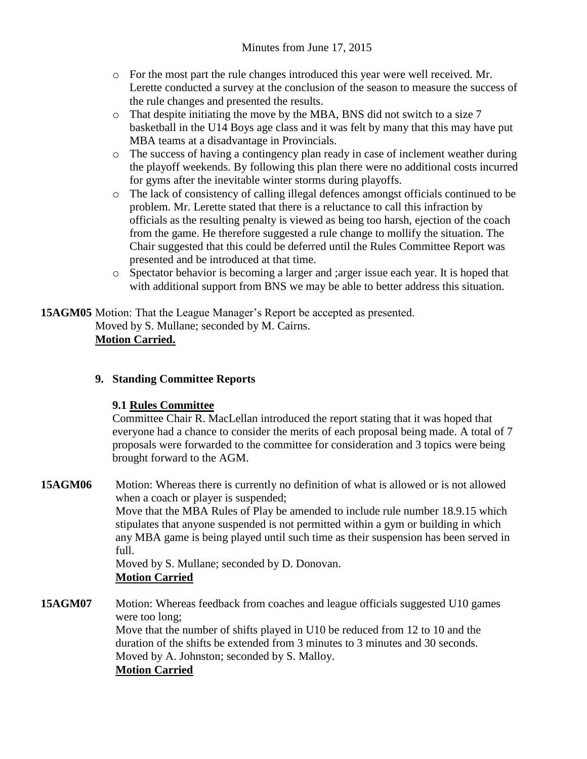- o For the most part the rule changes introduced this year were well received. Mr. Lerette conducted a survey at the conclusion of the season to measure the success of the rule changes and presented the results.
- o That despite initiating the move by the MBA, BNS did not switch to a size 7 basketball in the U14 Boys age class and it was felt by many that this may have put MBA teams at a disadvantage in Provincials.
- $\circ$  The success of having a contingency plan ready in case of inclement weather during the playoff weekends. By following this plan there were no additional costs incurred for gyms after the inevitable winter storms during playoffs.
- o The lack of consistency of calling illegal defences amongst officials continued to be problem. Mr. Lerette stated that there is a reluctance to call this infraction by officials as the resulting penalty is viewed as being too harsh, ejection of the coach from the game. He therefore suggested a rule change to mollify the situation. The Chair suggested that this could be deferred until the Rules Committee Report was presented and be introduced at that time.
- o Spectator behavior is becoming a larger and ;arger issue each year. It is hoped that with additional support from BNS we may be able to better address this situation.

**15AGM05** Motion: That the League Manager's Report be accepted as presented. Moved by S. Mullane; seconded by M. Cairns. **Motion Carried.**

# **9. Standing Committee Reports**

# **9.1 Rules Committee**

Committee Chair R. MacLellan introduced the report stating that it was hoped that everyone had a chance to consider the merits of each proposal being made. A total of 7 proposals were forwarded to the committee for consideration and 3 topics were being brought forward to the AGM.

**15AGM06** Motion: Whereas there is currently no definition of what is allowed or is not allowed when a coach or player is suspended; Move that the MBA Rules of Play be amended to include rule number 18.9.15 which

stipulates that anyone suspended is not permitted within a gym or building in which any MBA game is being played until such time as their suspension has been served in full.

Moved by S. Mullane; seconded by D. Donovan. **Motion Carried**

**15AGM07** Motion: Whereas feedback from coaches and league officials suggested U10 games were too long; Move that the number of shifts played in U10 be reduced from 12 to 10 and the duration of the shifts be extended from 3 minutes to 3 minutes and 30 seconds. Moved by A. Johnston; seconded by S. Malloy.

# **Motion Carried**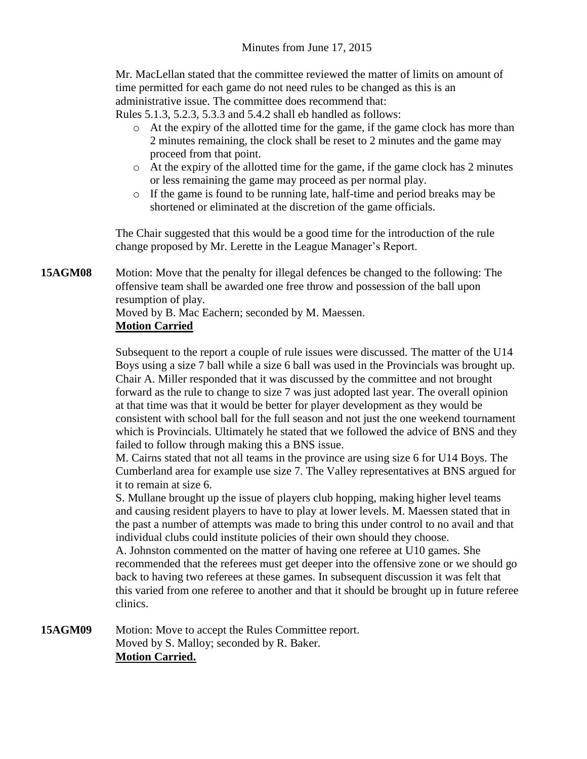Mr. MacLellan stated that the committee reviewed the matter of limits on amount of time permitted for each game do not need rules to be changed as this is an administrative issue. The committee does recommend that:

Rules 5.1.3, 5.2.3, 5.3.3 and 5.4.2 shall eb handled as follows:

- o At the expiry of the allotted time for the game, if the game clock has more than 2 minutes remaining, the clock shall be reset to 2 minutes and the game may proceed from that point.
- o At the expiry of the allotted time for the game, if the game clock has 2 minutes or less remaining the game may proceed as per normal play.
- o If the game is found to be running late, half-time and period breaks may be shortened or eliminated at the discretion of the game officials.

The Chair suggested that this would be a good time for the introduction of the rule change proposed by Mr. Lerette in the League Manager's Report.

**15AGM08** Motion: Move that the penalty for illegal defences be changed to the following: The offensive team shall be awarded one free throw and possession of the ball upon resumption of play.

Moved by B. Mac Eachern; seconded by M. Maessen. **Motion Carried**

### Subsequent to the report a couple of rule issues were discussed. The matter of the U14 Boys using a size 7 ball while a size 6 ball was used in the Provincials was brought up. Chair A. Miller responded that it was discussed by the committee and not brought forward as the rule to change to size 7 was just adopted last year. The overall opinion at that time was that it would be better for player development as they would be consistent with school ball for the full season and not just the one weekend tournament which is Provincials. Ultimately he stated that we followed the advice of BNS and they failed to follow through making this a BNS issue.

M. Cairns stated that not all teams in the province are using size 6 for U14 Boys. The Cumberland area for example use size 7. The Valley representatives at BNS argued for it to remain at size 6.

S. Mullane brought up the issue of players club hopping, making higher level teams and causing resident players to have to play at lower levels. M. Maessen stated that in the past a number of attempts was made to bring this under control to no avail and that individual clubs could institute policies of their own should they choose.

A. Johnston commented on the matter of having one referee at U10 games. She recommended that the referees must get deeper into the offensive zone or we should go back to having two referees at these games. In subsequent discussion it was felt that this varied from one referee to another and that it should be brought up in future referee clinics.

**15AGM09** Motion: Move to accept the Rules Committee report. Moved by S. Malloy; seconded by R. Baker. **Motion Carried.**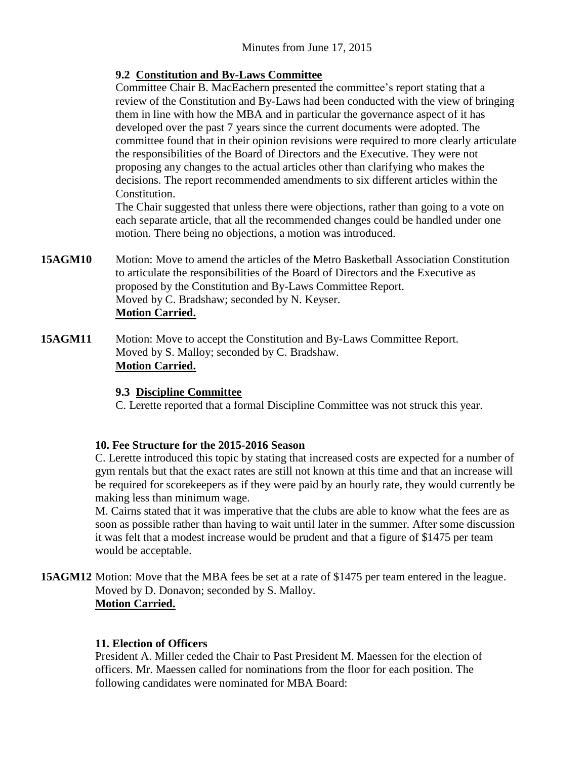# **9.2 Constitution and By-Laws Committee**

Committee Chair B. MacEachern presented the committee's report stating that a review of the Constitution and By-Laws had been conducted with the view of bringing them in line with how the MBA and in particular the governance aspect of it has developed over the past 7 years since the current documents were adopted. The committee found that in their opinion revisions were required to more clearly articulate the responsibilities of the Board of Directors and the Executive. They were not proposing any changes to the actual articles other than clarifying who makes the decisions. The report recommended amendments to six different articles within the Constitution.

The Chair suggested that unless there were objections, rather than going to a vote on each separate article, that all the recommended changes could be handled under one motion. There being no objections, a motion was introduced.

- **15AGM10** Motion: Move to amend the articles of the Metro Basketball Association Constitution to articulate the responsibilities of the Board of Directors and the Executive as proposed by the Constitution and By-Laws Committee Report. Moved by C. Bradshaw; seconded by N. Keyser. **Motion Carried.**
- **15AGM11** Motion: Move to accept the Constitution and By-Laws Committee Report. Moved by S. Malloy; seconded by C. Bradshaw. **Motion Carried.**

# **9.3 Discipline Committee**

C. Lerette reported that a formal Discipline Committee was not struck this year.

# **10. Fee Structure for the 2015-2016 Season**

C. Lerette introduced this topic by stating that increased costs are expected for a number of gym rentals but that the exact rates are still not known at this time and that an increase will be required for scorekeepers as if they were paid by an hourly rate, they would currently be making less than minimum wage.

M. Cairns stated that it was imperative that the clubs are able to know what the fees are as soon as possible rather than having to wait until later in the summer. After some discussion it was felt that a modest increase would be prudent and that a figure of \$1475 per team would be acceptable.

**15AGM12** Motion: Move that the MBA fees be set at a rate of \$1475 per team entered in the league. Moved by D. Donavon; seconded by S. Malloy. **Motion Carried.**

# **11. Election of Officers**

President A. Miller ceded the Chair to Past President M. Maessen for the election of officers. Mr. Maessen called for nominations from the floor for each position. The following candidates were nominated for MBA Board: